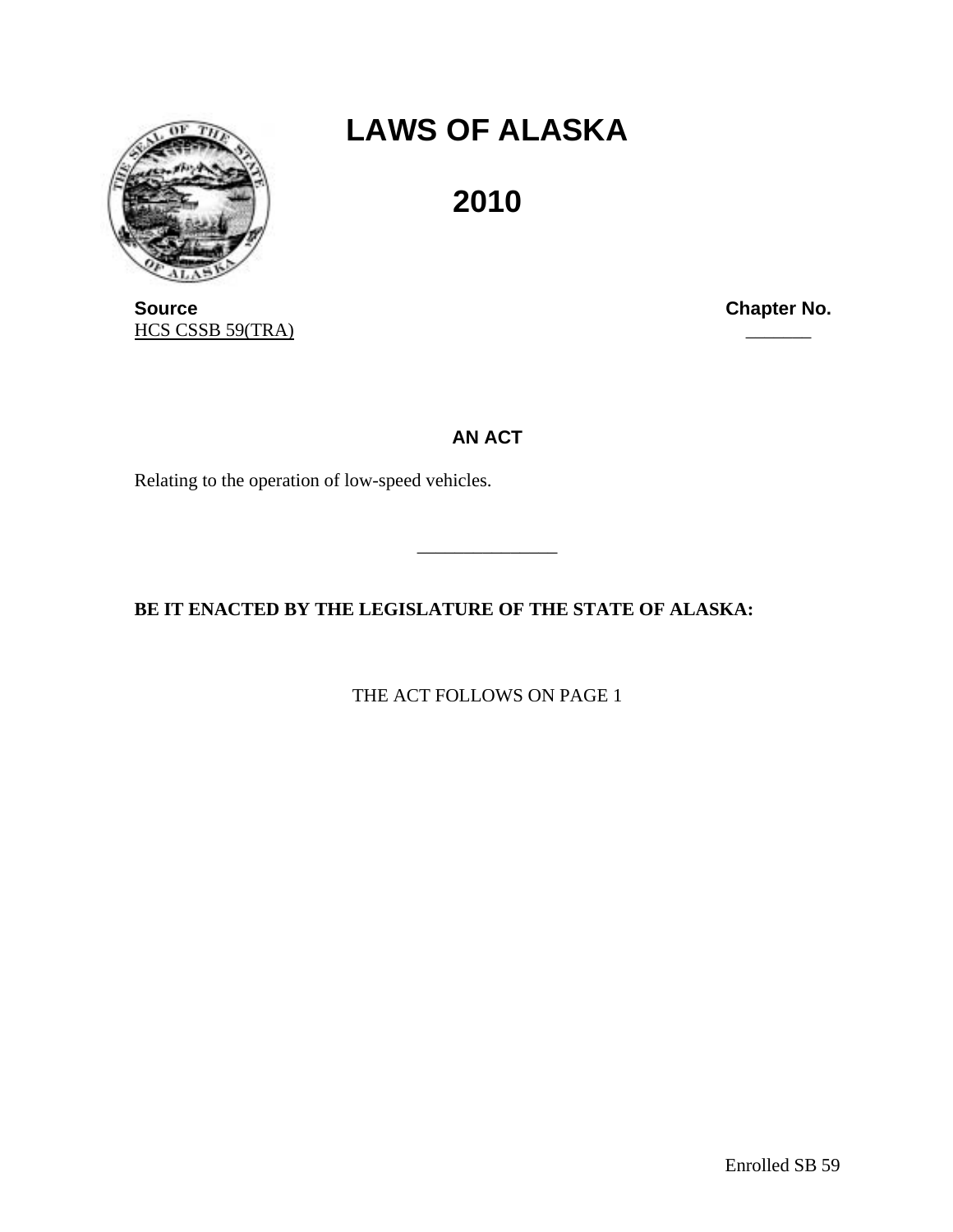

## **LAWS OF ALASKA**

**2010** 

**Source Chapter No. Chapter No. Chapter No.** HCS CSSB 59(TRA)

**AN ACT** 

\_\_\_\_\_\_\_\_\_\_\_\_\_\_\_

Relating to the operation of low-speed vehicles.

**BE IT ENACTED BY THE LEGISLATURE OF THE STATE OF ALASKA:** 

THE ACT FOLLOWS ON PAGE 1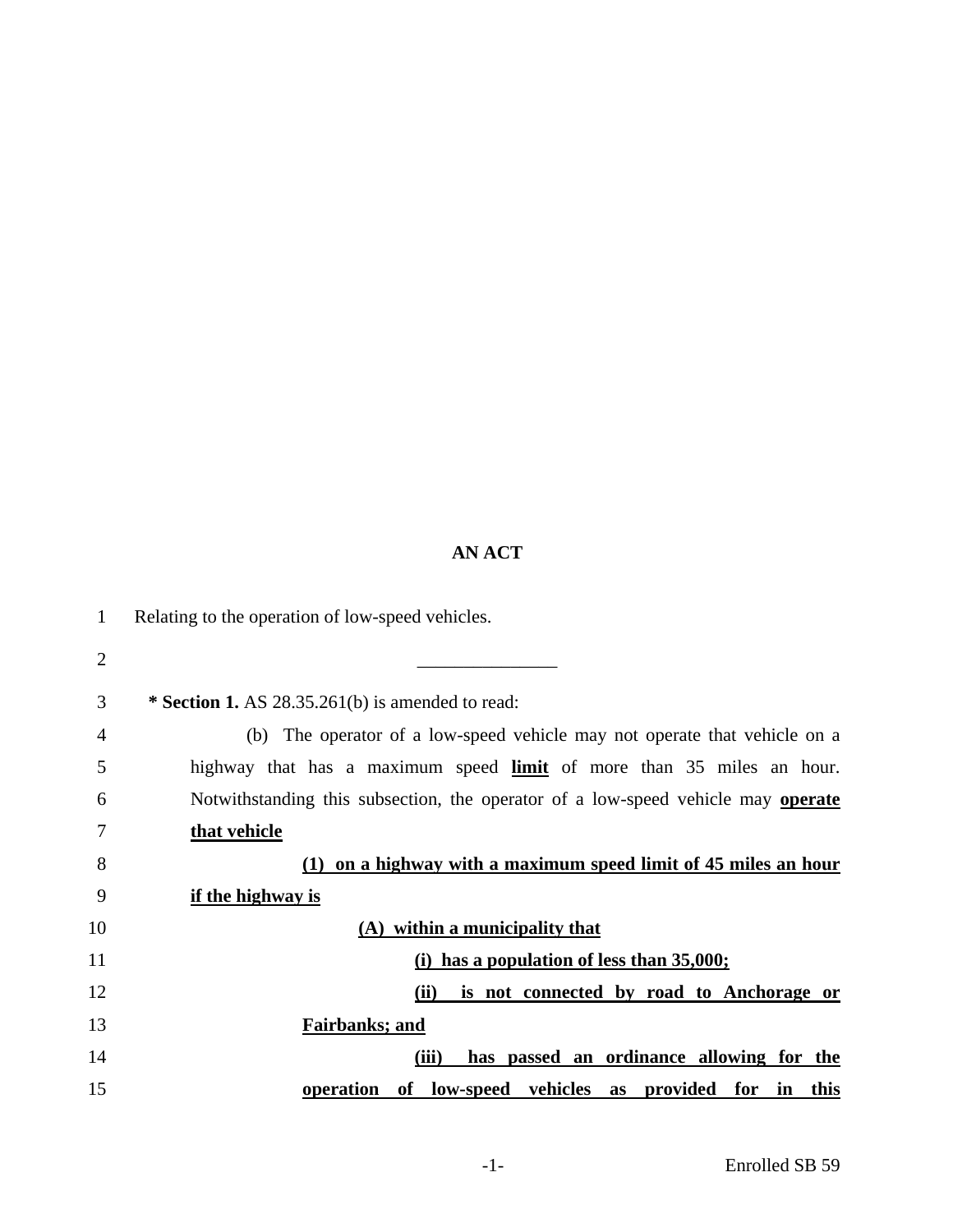## **AN ACT**

| 1              | Relating to the operation of low-speed vehicles.                                 |
|----------------|----------------------------------------------------------------------------------|
| $\overline{2}$ |                                                                                  |
| 3              | * Section 1. AS $28.35.261(b)$ is amended to read:                               |
| 4              | (b) The operator of a low-speed vehicle may not operate that vehicle on a        |
| 5              | highway that has a maximum speed limit of more than 35 miles an hour.            |
| 6              | Notwithstanding this subsection, the operator of a low-speed vehicle may operate |
| 7              | that vehicle                                                                     |
| 8              | on a highway with a maximum speed limit of 45 miles an hour<br>(1)               |
| 9              | if the highway is                                                                |
| 10             | (A) within a municipality that                                                   |
| 11             | (i) has a population of less than 35,000;                                        |
| 12             | (ii)<br>is not connected by road to Anchorage or                                 |
| 13             | Fairbanks; and                                                                   |
| 14             | (iii)<br>has passed an ordinance allowing for the                                |
| 15             | operation<br>low-speed vehicles as<br>provided<br>for<br>in<br>this<br>of        |